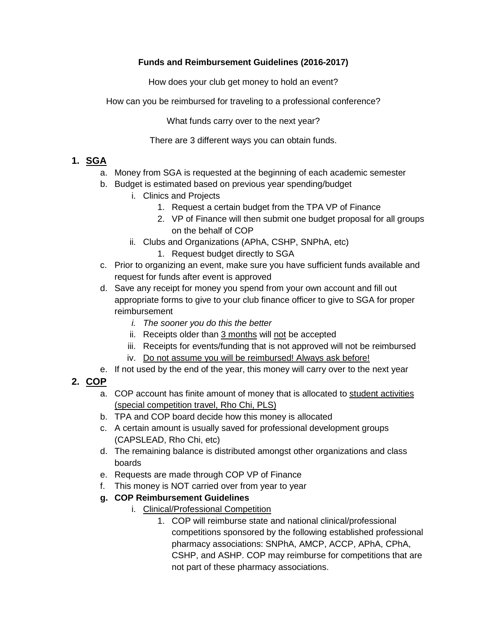### **Funds and Reimbursement Guidelines (2016-2017)**

How does your club get money to hold an event?

How can you be reimbursed for traveling to a professional conference?

What funds carry over to the next year?

There are 3 different ways you can obtain funds.

# **1. SGA**

- a. Money from SGA is requested at the beginning of each academic semester
- b. Budget is estimated based on previous year spending/budget
	- i. Clinics and Projects
		- 1. Request a certain budget from the TPA VP of Finance
		- 2. VP of Finance will then submit one budget proposal for all groups on the behalf of COP
	- ii. Clubs and Organizations (APhA, CSHP, SNPhA, etc)
		- 1. Request budget directly to SGA
- c. Prior to organizing an event, make sure you have sufficient funds available and request for funds after event is approved
- d. Save any receipt for money you spend from your own account and fill out appropriate forms to give to your club finance officer to give to SGA for proper reimbursement
	- *i. The sooner you do this the better*
	- ii. Receipts older than 3 months will not be accepted
	- iii. Receipts for events/funding that is not approved will not be reimbursed
	- iv. Do not assume you will be reimbursed! Always ask before!
- e. If not used by the end of the year, this money will carry over to the next year

# **2. COP**

- a. COP account has finite amount of money that is allocated to student activities (special competition travel, Rho Chi, PLS)
- b. TPA and COP board decide how this money is allocated
- c. A certain amount is usually saved for professional development groups (CAPSLEAD, Rho Chi, etc)
- d. The remaining balance is distributed amongst other organizations and class boards
- e. Requests are made through COP VP of Finance
- f. This money is NOT carried over from year to year

## **g. COP Reimbursement Guidelines**

- i. Clinical/Professional Competition
	- 1. COP will reimburse state and national clinical/professional competitions sponsored by the following established professional pharmacy associations: SNPhA, AMCP, ACCP, APhA, CPhA, CSHP, and ASHP. COP may reimburse for competitions that are not part of these pharmacy associations.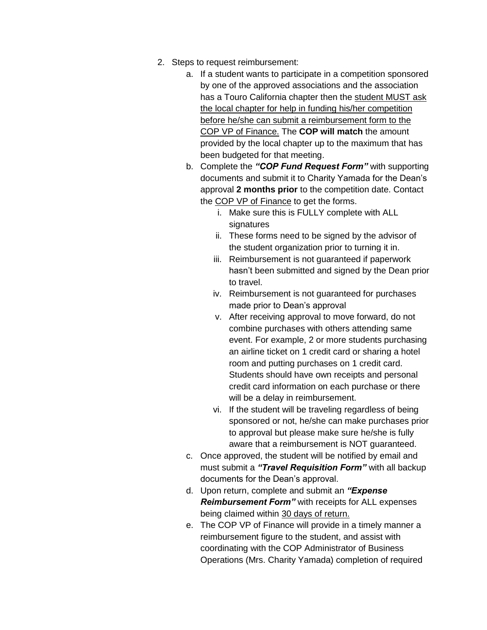- 2. Steps to request reimbursement:
	- a. If a student wants to participate in a competition sponsored by one of the approved associations and the association has a Touro California chapter then the student MUST ask the local chapter for help in funding his/her competition before he/she can submit a reimbursement form to the COP VP of Finance. The **COP will match** the amount provided by the local chapter up to the maximum that has been budgeted for that meeting.
	- b. Complete the *"COP Fund Request Form"* with supporting documents and submit it to Charity Yamada for the Dean's approval **2 months prior** to the competition date. Contact the COP VP of Finance to get the forms.
		- i. Make sure this is FULLY complete with ALL signatures
		- ii. These forms need to be signed by the advisor of the student organization prior to turning it in.
		- iii. Reimbursement is not guaranteed if paperwork hasn't been submitted and signed by the Dean prior to travel.
		- iv. Reimbursement is not guaranteed for purchases made prior to Dean's approval
		- v. After receiving approval to move forward, do not combine purchases with others attending same event. For example, 2 or more students purchasing an airline ticket on 1 credit card or sharing a hotel room and putting purchases on 1 credit card. Students should have own receipts and personal credit card information on each purchase or there will be a delay in reimbursement.
		- vi. If the student will be traveling regardless of being sponsored or not, he/she can make purchases prior to approval but please make sure he/she is fully aware that a reimbursement is NOT guaranteed.
	- c. Once approved, the student will be notified by email and must submit a *"Travel Requisition Form"* with all backup documents for the Dean's approval.
	- d. Upon return, complete and submit an *"Expense Reimbursement Form"* with receipts for ALL expenses being claimed within 30 days of return.
	- e. The COP VP of Finance will provide in a timely manner a reimbursement figure to the student, and assist with coordinating with the COP Administrator of Business Operations (Mrs. Charity Yamada) completion of required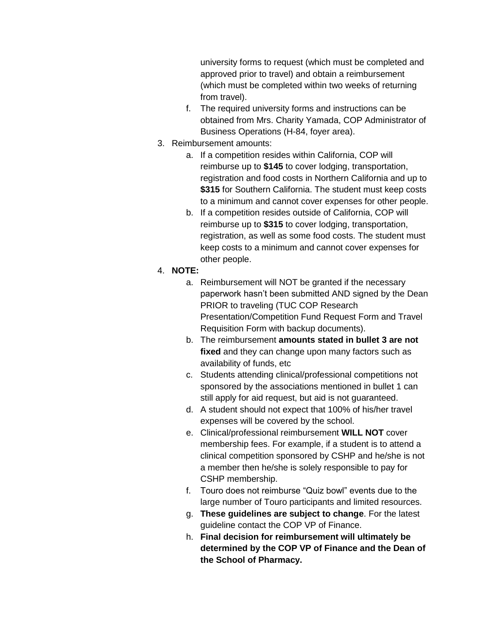university forms to request (which must be completed and approved prior to travel) and obtain a reimbursement (which must be completed within two weeks of returning from travel).

- f. The required university forms and instructions can be obtained from Mrs. Charity Yamada, COP Administrator of Business Operations (H-84, foyer area).
- 3. Reimbursement amounts:
	- a. If a competition resides within California, COP will reimburse up to **\$145** to cover lodging, transportation, registration and food costs in Northern California and up to **\$315** for Southern California. The student must keep costs to a minimum and cannot cover expenses for other people.
	- b. If a competition resides outside of California, COP will reimburse up to **\$315** to cover lodging, transportation, registration, as well as some food costs. The student must keep costs to a minimum and cannot cover expenses for other people.

### 4. **NOTE:**

- a. Reimbursement will NOT be granted if the necessary paperwork hasn't been submitted AND signed by the Dean PRIOR to traveling (TUC COP Research Presentation/Competition Fund Request Form and Travel Requisition Form with backup documents).
- b. The reimbursement **amounts stated in bullet 3 are not fixed** and they can change upon many factors such as availability of funds, etc
- c. Students attending clinical/professional competitions not sponsored by the associations mentioned in bullet 1 can still apply for aid request, but aid is not guaranteed.
- d. A student should not expect that 100% of his/her travel expenses will be covered by the school.
- e. Clinical/professional reimbursement **WILL NOT** cover membership fees. For example, if a student is to attend a clinical competition sponsored by CSHP and he/she is not a member then he/she is solely responsible to pay for CSHP membership.
- f. Touro does not reimburse "Quiz bowl" events due to the large number of Touro participants and limited resources.
- g. **These guidelines are subject to change**. For the latest guideline contact the COP VP of Finance.
- h. **Final decision for reimbursement will ultimately be determined by the COP VP of Finance and the Dean of the School of Pharmacy.**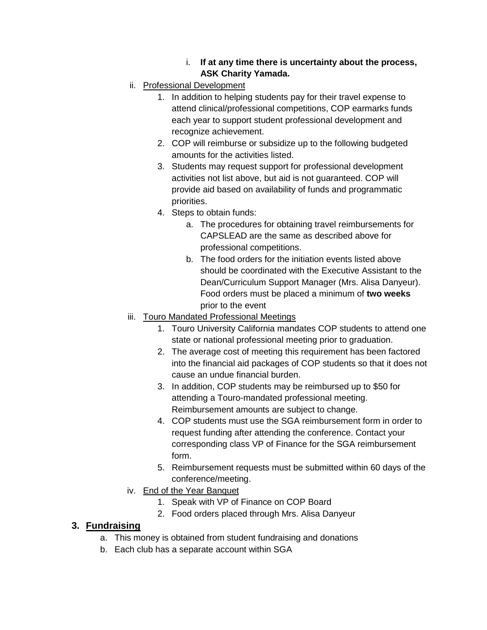### i. **If at any time there is uncertainty about the process, ASK Charity Yamada.**

- ii. Professional Development
	- 1. In addition to helping students pay for their travel expense to attend clinical/professional competitions, COP earmarks funds each year to support student professional development and recognize achievement.
	- 2. COP will reimburse or subsidize up to the following budgeted amounts for the activities listed.
	- 3. Students may request support for professional development activities not list above, but aid is not guaranteed. COP will provide aid based on availability of funds and programmatic priorities.
	- 4. Steps to obtain funds:
		- a. The procedures for obtaining travel reimbursements for CAPSLEAD are the same as described above for professional competitions.
		- b. The food orders for the initiation events listed above should be coordinated with the Executive Assistant to the Dean/Curriculum Support Manager (Mrs. Alisa Danyeur). Food orders must be placed a minimum of **two weeks** prior to the event

## iii. Touro Mandated Professional Meetings

- 1. Touro University California mandates COP students to attend one state or national professional meeting prior to graduation.
- 2. The average cost of meeting this requirement has been factored into the financial aid packages of COP students so that it does not cause an undue financial burden.
- 3. In addition, COP students may be reimbursed up to \$50 for attending a Touro-mandated professional meeting. Reimbursement amounts are subject to change.
- 4. COP students must use the SGA reimbursement form in order to request funding after attending the conference. Contact your corresponding class VP of Finance for the SGA reimbursement form.
- 5. Reimbursement requests must be submitted within 60 days of the conference/meeting.
- iv. End of the Year Banquet
	- 1. Speak with VP of Finance on COP Board
	- 2. Food orders placed through Mrs. Alisa Danyeur

# **3. Fundraising**

- a. This money is obtained from student fundraising and donations
- b. Each club has a separate account within SGA